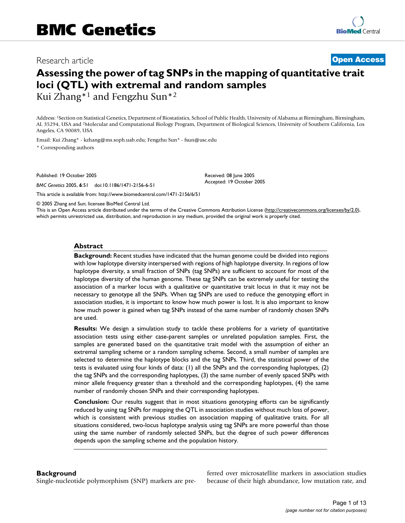# Research article **[Open Access](http://www.biomedcentral.com/info/about/charter/)**

# **Assessing the power of tag SNPs in the mapping of quantitative trait loci (QTL) with extremal and random samples** Kui Zhang\*1 and Fengzhu Sun\*2

Address: 1Section on Statistical Genetics, Department of Biostatistics, School of Public Health, University of Alabama at Birmingham, Birmingham, AL 35294, USA and 2Molecular and Computational Biology Program, Department of Biological Sciences, University of Southern California, Los Angeles, CA 90089, USA

Email: Kui Zhang\* - kzhang@ms.soph.uab.edu; Fengzhu Sun\* - fsun@usc.edu

[This article is available from: http://www.biomedcentral.com/1471-2156/6/51](http://www.biomedcentral.com/1471-2156/6/51)

\* Corresponding authors

Published: 19 October 2005

*BMC Genetics* 2005, **6**:51 doi:10.1186/1471-2156-6-51

Received: 08 June 2005 Accepted: 19 October 2005

© 2005 Zhang and Sun; licensee BioMed Central Ltd.

This is an Open Access article distributed under the terms of the Creative Commons Attribution License [\(http://creativecommons.org/licenses/by/2.0\)](http://creativecommons.org/licenses/by/2.0), which permits unrestricted use, distribution, and reproduction in any medium, provided the original work is properly cited.

#### **Abstract**

**Background:** Recent studies have indicated that the human genome could be divided into regions with low haplotype diversity interspersed with regions of high haplotype diversity. In regions of low haplotype diversity, a small fraction of SNPs (tag SNPs) are sufficient to account for most of the haplotype diversity of the human genome. These tag SNPs can be extremely useful for testing the association of a marker locus with a qualitative or quantitative trait locus in that it may not be necessary to genotype all the SNPs. When tag SNPs are used to reduce the genotyping effort in association studies, it is important to know how much power is lost. It is also important to know how much power is gained when tag SNPs instead of the same number of randomly chosen SNPs are used.

**Results:** We design a simulation study to tackle these problems for a variety of quantitative association tests using either case-parent samples or unrelated population samples. First, the samples are generated based on the quantitative trait model with the assumption of either an extremal sampling scheme or a random sampling scheme. Second, a small number of samples are selected to determine the haplotype blocks and the tag SNPs. Third, the statistical power of the tests is evaluated using four kinds of data: (1) all the SNPs and the corresponding haplotypes, (2) the tag SNPs and the corresponding haplotypes, (3) the same number of evenly spaced SNPs with minor allele frequency greater than a threshold and the corresponding haplotypes, (4) the same number of randomly chosen SNPs and their corresponding haplotypes.

**Conclusion:** Our results suggest that in most situations genotyping efforts can be significantly reduced by using tag SNPs for mapping the QTL in association studies without much loss of power, which is consistent with previous studies on association mapping of qualitative traits. For all situations considered, two-locus haplotype analysis using tag SNPs are more powerful than those using the same number of randomly selected SNPs, but the degree of such power differences depends upon the sampling scheme and the population history.

#### **Background**

Single-nucleotide polymorphism (SNP) markers are pre-

ferred over microsatellite markers in association studies because of their high abundance, low mutation rate, and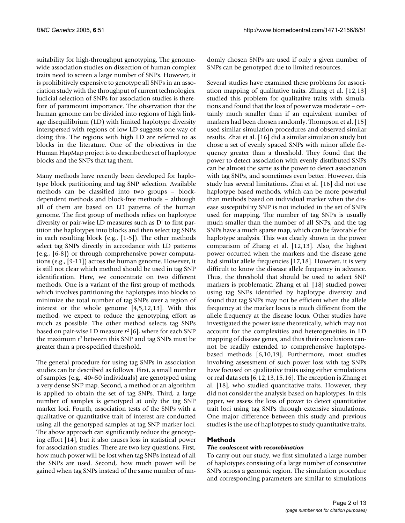suitability for high-throughput genotyping. The genomewide association studies on dissection of human complex traits need to screen a large number of SNPs. However, it is prohibitively expensive to genotype all SNPs in an association study with the throughput of current technologies. Judicial selection of SNPs for association studies is therefore of paramount importance. The observation that the human genome can be divided into regions of high linkage disequilibrium (LD) with limited haplotype diversity interspersed with regions of low LD suggests one way of doing this. The regions with high LD are referred to as blocks in the literature. One of the objectives in the Human HapMap project is to describe the set of haplotype blocks and the SNPs that tag them.

Many methods have recently been developed for haplotype block partitioning and tag SNP selection. Available methods can be classified into two groups – blockdependent methods and block-free methods – although all of them are based on LD patterns of the human genome. The first group of methods relies on haplotype diversity or pair-wise LD measures such as D' to first partition the haplotypes into blocks and then select tag SNPs in each resulting block (e.g., [1-5]). The other methods select tag SNPs directly in accordance with LD patterns (e.g., [6-8]) or through comprehensive power computations (e.g., [9-11]) across the human genome. However, it is still not clear which method should be used in tag SNP identification. Here, we concentrate on two different methods. One is a variant of the first group of methods, which involves partitioning the haplotypes into blocks to minimize the total number of tag SNPs over a region of interest or the whole genome [4,5,12,13]. With this method, we expect to reduce the genotyping effort as much as possible. The other method selects tag SNPs based on pair-wise LD measure *r*2 [6], where for each SNP the maximum *r*2 between this SNP and tag SNPs must be greater than a pre-specified threshold.

The general procedure for using tag SNPs in association studies can be described as follows. First, a small number of samples (e.g., 40~50 individuals) are genotyped using a very dense SNP map. Second, a method or an algorithm is applied to obtain the set of tag SNPs. Third, a large number of samples is genotyped at only the tag SNP marker loci. Fourth, association tests of the SNPs with a qualitative or quantitative trait of interest are conducted using all the genotyped samples at tag SNP marker loci. The above approach can significantly reduce the genotyping effort [14], but it also causes loss in statistical power for association studies. There are two key questions. First, how much power will be lost when tag SNPs instead of all the SNPs are used. Second, how much power will be gained when tag SNPs instead of the same number of randomly chosen SNPs are used if only a given number of SNPs can be genotyped due to limited resources.

Several studies have examined these problems for association mapping of qualitative traits. Zhang et al. [12,13] studied this problem for qualitative traits with simulations and found that the loss of power was moderate – certainly much smaller than if an equivalent number of markers had been chosen randomly. Thompson et al. [15] used similar simulation procedures and observed similar results. Zhai et al. [16] did a similar simulation study but chose a set of evenly spaced SNPs with minor allele frequency greater than a threshold. They found that the power to detect association with evenly distributed SNPs can be almost the same as the power to detect association with tag SNPs, and sometimes even better. However, this study has several limitations. Zhai et al. [16] did not use haplotype based methods, which can be more powerful than methods based on individual marker when the disease susceptibility SNP is not included in the set of SNPs used for mapping. The number of tag SNPs is usually much smaller than the number of all SNPs, and the tag SNPs have a much sparse map, which can be favorable for haplotype analysis. This was clearly shown in the power comparison of Zhang et al. [12,13]. Also, the highest power occurred when the markers and the disease gene had similar allele frequencies [17,18]. However, it is very difficult to know the disease allele frequency in advance. Thus, the threshold that should be used to select SNP markers is problematic. Zhang et al. [18] studied power using tag SNPs identified by haplotype diversity and found that tag SNPs may not be efficient when the allele frequency at the marker locus is much different from the allele frequency at the disease locus. Other studies have investigated the power issue theoretically, which may not account for the complexities and heterogeneities in LD mapping of disease genes, and thus their conclusions cannot be readily extended to comprehensive haplotypebased methods [6,10,19]. Furthermore, most studies involving assessment of such power loss with tag SNPs have focused on qualitative traits using either simulations or real data sets [6,12,13,15,16]. The exception is Zhang et al. [18], who studied quantitative traits. However, they did not consider the analysis based on haplotypes. In this paper, we assess the loss of power to detect quantitative trait loci using tag SNPs through extensive simulations. One major difference between this study and previous studies is the use of haplotypes to study quantitative traits.

# **Methods**

# *The coalescent with recombination*

To carry out our study, we first simulated a large number of haplotypes consisting of a large number of consecutive SNPs across a genomic region. The simulation procedure and corresponding parameters are similar to simulations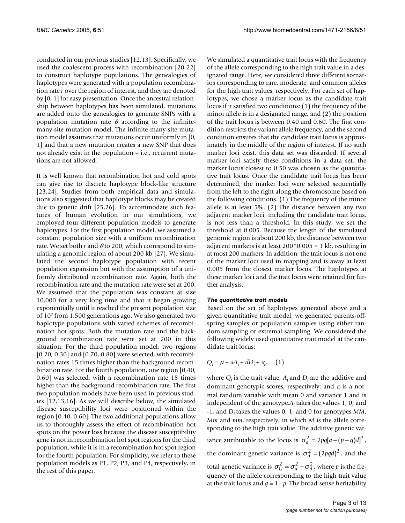conducted in our previous studies [12,13]. Specifically, we used the coalescent process with recombination [20-22] to construct haplotype populations. The genealogies of haplotypes were generated with a population recombination rate *r* over the region of interest, and they are denoted by [0, 1] for easy presentation. Once the ancestral relationship between haplotypes has been simulated, mutations are added onto the genealogies to generate SNPs with a population mutation rate  $\theta$  according to the infinitemany-site mutation model. The infinite-many-site mutation model assumes that mutations occur uniformly in [0, 1] and that a new mutation creates a new SNP that does not already exist in the population – i.e., recurrent mutations are not allowed.

It is well known that recombination hot and cold spots can give rise to discrete haplotype block-like structure [23,24]. Studies from both empirical data and simulations also suggested that haplotype blocks may be created due to genetic drift [25,26]. To accommodate such features of human evolution in our simulations, we employed four different population models to generate haplotypes. For the first population model, we assumed a constant population size with a uniform recombination rate. We set both  $r$  and  $\theta$  to 200, which correspond to simulating a genomic region of about 200 kb [27]. We simulated the second haplotype population with recent population expansion but with the assumption of a uniformly distributed recombination rate. Again, both the recombination rate and the mutation rate were set at 200. We assumed that the population was constant at size 10,000 for a very long time and that it began growing exponentially until it reached the present population size of 107 from 1,500 generations ago. We also generated two haplotype populations with varied schemes of recombination hot spots. Both the mutation rate and the background recombination rate were set at 200 in this situation. For the third population model, two regions [0.20, 0.30] and [0.70, 0.80] were selected, with recombination rates 15 times higher than the background recombination rate. For the fourth population, one region [0.40, 0.60] was selected, with a recombination rate 15 times higher than the background recombination rate. The first two population models have been used in previous studies [12,13,16]. As we will describe below, the simulated disease susceptibility loci were positioned within the region [0.40, 0.60]. The two additional populations allow us to thoroughly assess the effect of recombination hot spots on the power loss because the disease susceptibility gene is not in recombination hot spot regions for the third population, while it is in a recombination hot spot region for the fourth population. For simplicity, we refer to these population models as P1, P2, P3, and P4, respectively, in the rest of this paper.

We simulated a quantitative trait locus with the frequency of the allele corresponding to the high trait value in a designated range. Here, we considered three different scenarios corresponding to rare, moderate, and common alleles for the high trait values, respectively. For each set of haplotypes, we chose a marker locus as the candidate trait locus if it satisfied two conditions: (1) the frequency of the minor allele is in a designated range, and (2) the position of the trait locus is between 0.40 and 0.60. The first condition restricts the variant allele frequency, and the second condition ensures that the candidate trait locus is approximately in the middle of the region of interest. If no such marker loci exist, this data set was discarded. If several marker loci satisfy these conditions in a data set, the marker locus closest to 0.50 was chosen as the quantitative trait locus. Once the candidate trait locus has been determined, the marker loci were selected sequentially from the left to the right along the chromosome based on the following conditions. (1) The frequency of the minor allele is at least 5%. (2) The distance between any two adjacent marker loci, including the candidate trait locus, is not less than a threshold. In this study, we set the threshold at 0.005. Because the length of the simulated genomic region is about 200 kb, the distance between two adjacent markers is at least 200\*0.005 = 1 kb, resulting in at most 200 markers. In addition, the trait locus is not one of the marker loci used in mapping and is away at least 0.005 from the closest marker locus. The haplotypes at these marker loci and the trait locus were retained for further analysis.

### *The quantitative trait models*

Based on the set of haplotypes generated above and a given quantitative trait model, we generated parents-offspring samples or population samples using either random sampling or extremal sampling. We considered the following widely used quantitative trait model at the candidate trait locus:

$$
Q_i = \mu + aA_i + dD_i + \varepsilon_{i'} \hspace{0.5cm} (1)
$$

where  $Q_i$  is the trait value;  $A_i$  and  $D_i$  are the additive and dominant genotypic scores, respectively; and <sup>ε</sup>*i* is a normal random variable with mean 0 and variance 1 and is independent of the genotype.*Ai* takes the values 1, 0, and -1, and *Di* takes the values 0, 1, and 0 for genotypes *MM*, *Mm* and *mm*, respectively, in which *M* is the allele corresponding to the high trait value. The additive genetic variance attributable to the locus is  $\sigma_a^2 = 2pq[a-(p-q)d]^2$ , the dominant genetic variance is  $\sigma_d^2 = (2 \rho q d)^2$ , and the total genetic variance is  $\sigma_G^2 = \sigma_a^2 + \sigma_d^2$ , where *p* is the frequency of the allele corresponding to the high trait value

at the trait locus and  $q = 1 - p$ . The broad-sense heritability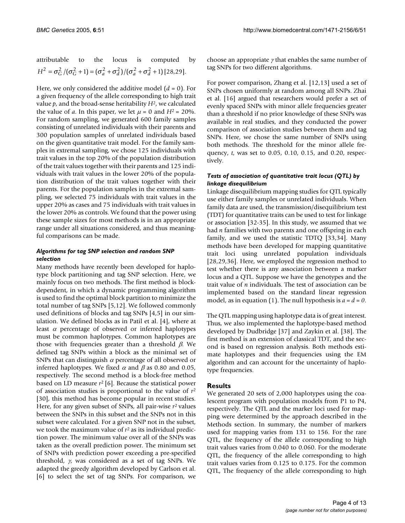attributable to the locus is computed by  $H^2 = \sigma_G^2/(\sigma_G^2 + 1) = (\sigma_a^2 + \sigma_d^2)/(\sigma_a^2 + \sigma_d^2 + 1)$  [28,29].

Here, we only considered the additive model (*d* = 0). For a given frequency of the allele corresponding to high trait value *p*, and the broad-sense heritability *H*2, we calculated the value of *a*. In this paper, we let  $\mu$  = 0 and  $H^2$  = 20%. For random sampling, we generated 600 family samples consisting of unrelated individuals with their parents and 300 population samples of unrelated individuals based on the given quantitative trait model. For the family samples in extremal sampling, we chose 125 individuals with trait values in the top 20% of the population distribution of the trait values together with their parents and 125 individuals with trait values in the lower 20% of the population distribution of the trait values together with their parents. For the population samples in the extremal sampling, we selected 75 individuals with trait values in the upper 20% as cases and 75 individuals with trait values in the lower 20% as controls. We found that the power using these sample sizes for most methods is in an appropriate range under all situations considered, and thus meaningful comparisons can be made.

# *Algorithms for tag SNP selection and random SNP selection*

Many methods have recently been developed for haplotype block partitioning and tag SNP selection. Here, we mainly focus on two methods. The first method is blockdependent, in which a dynamic programming algorithm is used to find the optimal block partition to minimize the total number of tag SNPs [5,12]. We followed commonly used definitions of blocks and tag SNPs [4,5] in our simulation. We defined blocks as in Patil et al. [4], where at least  $\alpha$  percentage of observed or inferred haplotypes must be common haplotypes. Common haplotypes are those with frequencies greater than a threshold  $β$ . We defined tag SNPs within a block as the minimal set of SNPs that can distinguish  $\alpha$  percentage of all observed or inferred haplotypes. We fixed  $\alpha$  and  $\beta$  as 0.80 and 0.05, respectively. The second method is a block-free method based on LD measure *r*2 [6]. Because the statistical power of association studies is proportional to the value of *r*<sup>2</sup> [30], this method has become popular in recent studies. Here, for any given subset of SNPs, all pair-wise *r*2 values between the SNPs in this subset and the SNPs not in this subset were calculated. For a given SNP not in the subset, we took the maximum value of *r*2 as its individual prediction power. The minimum value over all of the SNPs was taken as the overall prediction power. The minimum set of SNPs with prediction power exceeding a pre-specified threshold, γ, was considered as a set of tag SNPs. We adapted the greedy algorithm developed by Carlson et al. [6] to select the set of tag SNPs. For comparison, we choose an appropriate  $\gamma$  that enables the same number of tag SNPs for two different algorithms.

For power comparison, Zhang et al. [12,13] used a set of SNPs chosen uniformly at random among all SNPs. Zhai et al. [16] argued that researchers would prefer a set of evenly spaced SNPs with minor allele frequencies greater than a threshold if no prior knowledge of these SNPs was available in real studies, and they conducted the power comparison of association studies between them and tag SNPs. Here, we chose the same number of SNPs using both methods. The threshold for the minor allele frequency, *t*, was set to 0.05, 0.10, 0.15, and 0.20, respectively.

# *Tests of association of quantitative trait locus (QTL) by linkage disequilibrium*

Linkage disequilibrium mapping studies for QTL typically use either family samples or unrelated individuals. When family data are used, the transmission/disequilibrium test (TDT) for quantitative traits can be used to test for linkage or association [32-35]. In this study, we assumed that we had *n* families with two parents and one offspring in each family, and we used the statistic TDTQ [33,34]. Many methods have been developed for mapping quantitative trait loci using unrelated population individuals [28,29,36]. Here, we employed the regression method to test whether there is any association between a marker locus and a QTL. Suppose we have the genotypes and the trait value of *n* individuals. The test of association can be implemented based on the standard linear regression model, as in equation (1). The null hypothesis is  $a = d = 0$ .

The QTL mapping using haplotype data is of great interest. Thus, we also implemented the haplotype-based method developed by Dudbridge [37] and Zaykin et al. [38]. The first method is an extension of classical TDT, and the second is based on regression analysis. Both methods estimate haplotypes and their frequencies using the EM algorithm and can account for the uncertainty of haplotype frequencies.

# **Results**

We generated 20 sets of 2,000 haplotypes using the coalescent program with population models from P1 to P4, respectively. The QTL and the marker loci used for mapping were determined by the approach described in the Methods section. In summary, the number of markers used for mapping varies from 131 to 156. For the rare QTL, the frequency of the allele corresponding to high trait values varies from 0.040 to 0.060. For the moderate QTL, the frequency of the allele corresponding to high trait values varies from 0.125 to 0.175. For the common QTL, The frequency of the allele corresponding to high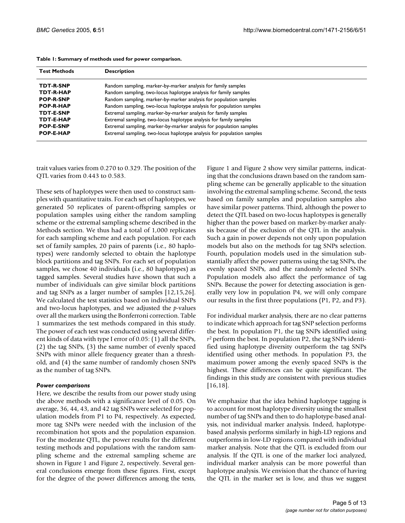| <b>Test Methods</b> | <b>Description</b>                                                     |  |
|---------------------|------------------------------------------------------------------------|--|
| <b>TDT-R-SNP</b>    | Random sampling, marker-by-marker analysis for family samples          |  |
| <b>TDT-R-HAP</b>    | Random sampling, two-locus haplotype analysis for family samples       |  |
| <b>POP-R-SNP</b>    | Random sampling, marker-by-marker analysis for population samples      |  |
| <b>POP-R-HAP</b>    | Random sampling, two-locus haplotype analysis for population samples   |  |
| <b>TDT-E-SNP</b>    | Extremal sampling, marker-by-marker analysis for family samples        |  |
| <b>TDT-E-HAP</b>    | Extremal sampling, two-locus haplotype analysis for family samples     |  |
| <b>POP-E-SNP</b>    | Extremal sampling, marker-by-marker analysis for population samples    |  |
| <b>POP-E-HAP</b>    | Extremal sampling, two-locus haplotype analysis for population samples |  |

**Table 1: Summary of methods used for power comparison.**

trait values varies from 0.270 to 0.329. The position of the QTL varies from 0.443 to 0.583.

These sets of haplotypes were then used to construct samples with quantitative traits. For each set of haplotypes, we generated 50 replicates of parent-offspring samples or population samples using either the random sampling scheme or the extremal sampling scheme described in the Methods section. We thus had a total of 1,000 replicates for each sampling scheme and each population. For each set of family samples, 20 pairs of parents (i.e., 80 haplotypes) were randomly selected to obtain the haplotype block partitions and tag SNPs. For each set of population samples, we chose 40 individuals (i.e., 80 haplotypes) as tagged samples. Several studies have shown that such a number of individuals can give similar block partitions and tag SNPs as a larger number of samples [12,15,26]. We calculated the test statistics based on individual SNPs and two-locus haplotypes, and we adjusted the *p*-values over all the markers using the Bonferroni correction. Table 1 summarizes the test methods compared in this study. The power of each test was conducted using several different kinds of data with type I error of 0.05: (1) all the SNPs, (2) the tag SNPs, (3) the same number of evenly spaced SNPs with minor allele frequency greater than a threshold, and (4) the same number of randomly chosen SNPs as the number of tag SNPs.

### *Power comparisons*

Here, we describe the results from our power study using the above methods with a significance level of 0.05. On average, 36, 44, 43, and 42 tag SNPs were selected for population models from P1 to P4, respectively. As expected, more tag SNPs were needed with the inclusion of the recombination hot spots and the population expansion. For the moderate QTL, the power results for the different testing methods and populations with the random sampling scheme and the extremal sampling scheme are shown in Figure 1 and Figure 2, respectively. Several general conclusions emerge from these figures. First, except for the degree of the power differences among the tests,

Figure 1 and Figure 2 show very similar patterns, indicating that the conclusions drawn based on the random sampling scheme can be generally applicable to the situation involving the extremal sampling scheme. Second, the tests based on family samples and population samples also have similar power patterns. Third, although the power to detect the QTL based on two-locus haplotypes is generally higher than the power based on marker-by-marker analysis because of the exclusion of the QTL in the analysis. Such a gain in power depends not only upon population models but also on the methods for tag SNPs selection. Fourth, population models used in the simulation substantially affect the power patterns using the tag SNPs, the evenly spaced SNPs, and the randomly selected SNPs. Population models also affect the performance of tag SNPs. Because the power for detecting association is generally very low in population P4, we will only compare our results in the first three populations (P1, P2, and P3).

For individual marker analysis, there are no clear patterns to indicate which approach for tag SNP selection performs the best. In population P1, the tag SNPs identified using *r*2 perform the best. In population P2, the tag SNPs identified using haplotype diversity outperform the tag SNPs identified using other methods. In population P3, the maximum power among the evenly spaced SNPs is the highest. These differences can be quite significant. The findings in this study are consistent with previous studies [16,18].

We emphasize that the idea behind haplotype tagging is to account for most haplotype diversity using the smallest number of tag SNPs and then to do haplotype-based analysis, not individual marker analysis. Indeed, haplotypebased analysis performs similarly in high-LD regions and outperforms in low-LD regions compared with individual marker analysis. Note that the QTL is excluded from our analysis. If the QTL is one of the marker loci analyzed, individual marker analysis can be more powerful than haplotype analysis. We envision that the chance of having the QTL in the marker set is low, and thus we suggest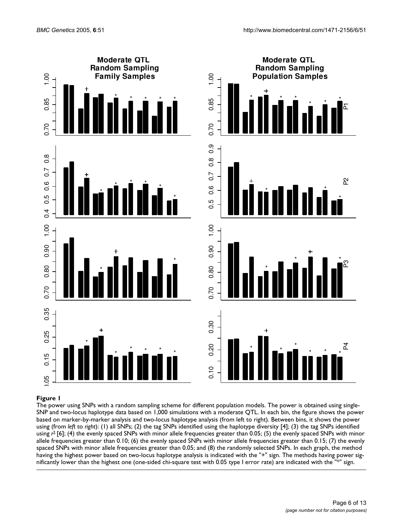

# The power using SNPs with a random sampli **Figure 1** ng scheme for different population models

The power using SNPs with a random sampling scheme for different population models. The power is obtained using single-SNP and two-locus haplotype data based on 1,000 simulations with a moderate QTL. In each bin, the figure shows the power based on marker-by-marker analysis and two-locus haplotype analysis (from left to right). Between bins, it shows the power using (from *left* to *right*): (1) all SNPs; (2) the tag SNPs identified using the haplotype diversity [4]; (3) the tag SNPs identified using  $r^2$  [6]; (4) the evenly spaced SNPs with minor allele frequencies greater than 0.05; (5) the evenly spaced SNPs with minor allele frequencies greater than 0.10; (6) the evenly spaced SNPs with minor allele frequencies greater than 0.15; (7) the evenly spaced SNPs with minor allele frequencies greater than 0.05; and (8) the randomly selected SNPs. In each graph, the method having the highest power based on two-locus haplotype analysis is indicated with the "+" sign. The methods having power sig-<br>nificantly lower than the highest one (one-sided chi-square test with 0.05 type I error rate) are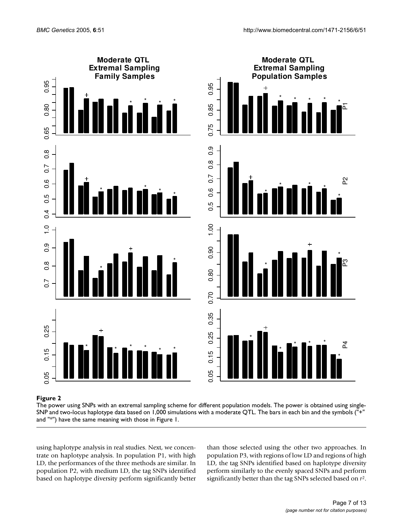

# The power using SNPs with an extremal samp **Figure 2** ling scheme for different population models

The power using SNPs with an extremal sampling scheme for different population models. The power is obtained using single-SNP and two-locus haplotype data based on 1,000 simulations with a moderate QTL. The bars in each bin and the symbols ("+"

using haplotype analysis in real studies. Next, we concentrate on haplotype analysis. In population P1, with high LD, the performances of the three methods are similar. In population P2, with medium LD, the tag SNPs identified based on haplotype diversity perform significantly better than those selected using the other two approaches. In population P3, with regions of low LD and regions of high LD, the tag SNPs identified based on haplotype diversity perform similarly to the evenly spaced SNPs and perform significantly better than the tag SNPs selected based on *r*2.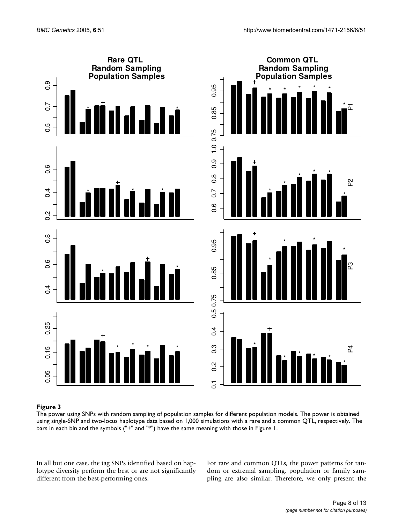

# **Figure 3** The power using SNPs with random sampling of population sampling of population samples for different population models for different population models for different population models for different population mod

The power using SNPs with random sampling of population samples for different population models. The power is obtained using single-SNP and two-locus haplotype data based on 1,000 simulations with a rare and a common QTL, respectively. The bars in each bin and the symbols ("+" and "\*") have the same meaning with those in Figure 1.

In all but one case, the tag SNPs identified based on haplotype diversity perform the best or are not significantly different from the best-performing ones.

For rare and common QTLs, the power patterns for random or extremal sampling, population or family sampling are also similar. Therefore, we only present the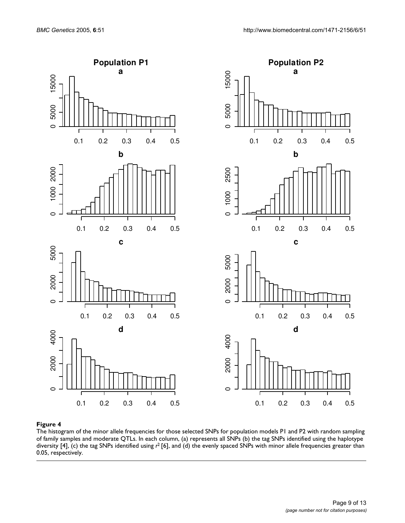

### The histogram of the minor allele frequenc of family samples and moderate QTLs **Figure 4** ies for those selected SNPs for population models P1 and P2 with random sampling

The histogram of the minor allele frequencies for those selected SNPs for population models P1 and P2 with random sampling of family samples and moderate QTLs. In each column, (a) represents all SNPs (b) the tag SNPs identified using the haplotype diversity [4], (c) the tag SNPs identified using *r*2 [6], and (d) the evenly spaced SNPs with minor allele frequencies greater than 0.05, respectively.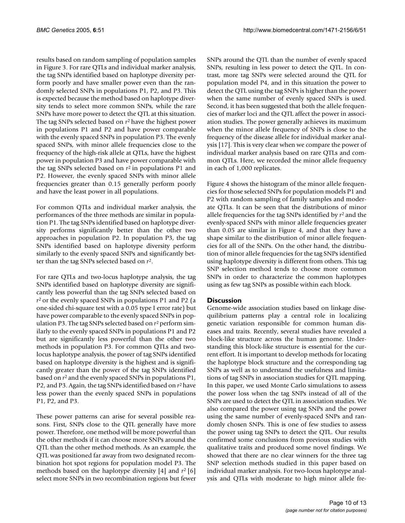results based on random sampling of population samples in Figure 3. For rare QTLs and individual marker analysis, the tag SNPs identified based on haplotype diversity perform poorly and have smaller power even than the randomly selected SNPs in populations P1, P2, and P3. This is expected because the method based on haplotype diversity tends to select more common SNPs, while the rare SNPs have more power to detect the QTL at this situation. The tag SNPs selected based on *r*2 have the highest power in populations P1 and P2 and have power comparable with the evenly spaced SNPs in population P3. The evenly spaced SNPs, with minor allele frequencies close to the frequency of the high-risk allele at QTLs, have the highest power in population P3 and have power comparable with the tag SNPs selected based on *r*2 in populations P1 and P2. However, the evenly spaced SNPs with minor allele frequencies greater than 0.15 generally perform poorly and have the least power in all populations.

For common QTLs and individual marker analysis, the performances of the three methods are similar in population P1. The tag SNPs identified based on haplotype diversity performs significantly better than the other two approaches in population P2. In population P3, the tag SNPs identified based on haplotype diversity perform similarly to the evenly spaced SNPs and significantly better than the tag SNPs selected based on *r*2.

For rare QTLs and two-locus haplotype analysis, the tag SNPs identified based on haplotype diversity are significantly less powerful than the tag SNPs selected based on *r*2 or the evenly spaced SNPs in populations P1 and P2 (a one-sided chi-square test with a 0.05 type I error rate) but have power comparable to the evenly spaced SNPs in population P3. The tag SNPs selected based on *r*2 perform similarly to the evenly spaced SNPs in populations P1 and P2 but are significantly less powerful than the other two methods in population P3. For common QTLs and twolocus haplotype analysis, the power of tag SNPs identified based on haplotype diversity is the highest and is significantly greater than the power of the tag SNPs identified based on *r*2 and the evenly spaced SNPs in populations P1, P2, and P3. Again, the tag SNPs identified based on *r*2 have less power than the evenly spaced SNPs in populations P1, P2, and P3.

These power patterns can arise for several possible reasons. First, SNPs close to the QTL generally have more power. Therefore, one method will be more powerful than the other methods if it can choose more SNPs around the QTL than the other method methods. As an example, the QTL was positioned far away from two designated recombination hot spot regions for population model P3. The methods based on the haplotype diversity [4] and *r*2 [6] select more SNPs in two recombination regions but fewer

SNPs around the QTL than the number of evenly spaced SNPs, resulting in less power to detect the QTL. In contrast, more tag SNPs were selected around the QTL for population model P4, and in this situation the power to detect the QTL using the tag SNPs is higher than the power when the same number of evenly spaced SNPs is used. Second, it has been suggested that both the allele frequencies of marker loci and the QTL affect the power in association studies. The power generally achieves its maximum when the minor allele frequency of SNPs is close to the frequency of the disease allele for individual marker analysis [17]. This is very clear when we compare the power of individual marker analysis based on rare QTLs and common QTLs. Here, we recorded the minor allele frequency in each of 1,000 replicates.

Figure 4 shows the histogram of the minor allele frequencies for those selected SNPs for population models P1 and P2 with random sampling of family samples and moderate QTLs. It can be seen that the distributions of minor allele frequencies for the tag SNPs identified by *r*2 and the evenly-spaced SNPs with minor allele frequencies greater than 0.05 are similar in Figure 4, and that they have a shape similar to the distribution of minor allele frequencies for all of the SNPs. On the other hand, the distribution of minor allele frequencies for the tag SNPs identified using haplotype diversity is different from others. This tag SNP selection method tends to choose more common SNPs in order to characterize the common haplotypes using as few tag SNPs as possible within each block.

# **Discussion**

Genome-wide association studies based on linkage disequilibrium patterns play a central role in localizing genetic variation responsible for common human diseases and traits. Recently, several studies have revealed a block-like structure across the human genome. Understanding this block-like structure is essential for the current effort. It is important to develop methods for locating the haplotype block structure and the corresponding tag SNPs as well as to understand the usefulness and limitations of tag SNPs in association studies for QTL mapping. In this paper, we used Monte Carlo simulations to assess the power loss when the tag SNPs instead of all of the SNPs are used to detect the QTL in association studies. We also compared the power using tag SNPs and the power using the same number of evenly-spaced SNPs and randomly chosen SNPs. This is one of few studies to assess the power using tag SNPs to detect the QTL. Our results confirmed some conclusions from previous studies with qualitative traits and produced some novel findings. We showed that there are no clear winners for the three tag SNP selection methods studied in this paper based on individual marker analysis. For two-locus haplotype analysis and QTLs with moderate to high minor allele fre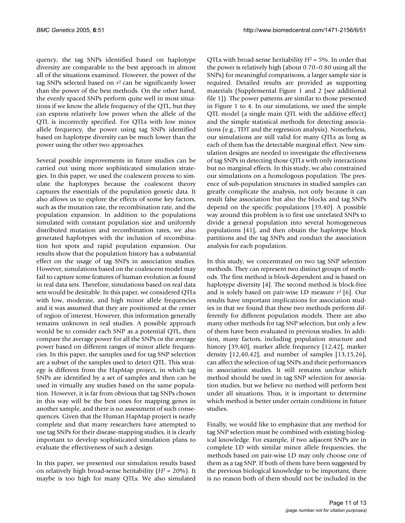quency, the tag SNPs identified based on haplotype diversity are comparable to the best approach in almost all of the situations examined. However, the power of the tag SNPs selected based on *r*2 can be significantly lower than the power of the best methods. On the other hand, the evenly spaced SNPs perform quite well in most situations if we know the allele frequency of the QTL, but they can express relatively low power when the allele of the QTL is incorrectly specified. For QTLs with low minor allele frequency, the power using tag SNPs identified based on haplotype diversity can be much lower than the power using the other two approaches.

Several possible improvements in future studies can be carried out using more sophisticated simulation strategies. In this paper, we used the coalescent process to simulate the haplotypes because the coalescent theory captures the essentials of the population genetic data. It also allows us to explore the effects of some key factors, such as the mutation rate, the recombination rate, and the population expansion. In addition to the populations simulated with constant population size and uniformly distributed mutation and recombination rates, we also generated haplotypes with the inclusion of recombination hot spots and rapid population expansion. Our results show that the population history has a substantial effect on the usage of tag SNPs in association studies. However, simulations based on the coalescent model may fail to capture some features of human evolution as found in real data sets. Therefore, simulations based on real data sets would be desirable. In this paper, we considered QTLs with low, moderate, and high minor allele frequencies and it was assumed that they are positioned at the center of region of interest. However, this information generally remains unknown in real studies. A possible approach would be to consider each SNP as a potential QTL, then compare the average power for all the SNPs or the average power based on different ranges of minor allele frequencies. In this paper, the samples used for tag SNP selection are a subset of the samples used to detect QTL. This strategy is different from the HapMap project, in which tag SNPs are identified by a set of samples and then can be used in virtually any studies based on the same population. However, it is far from obvious that tag SNPs chosen in this way will be the best ones for mapping genes in another sample, and there is no assessment of such consequences. Given that the Human HapMap project is nearly complete and that many researchers have attempted to use tag SNPs for their disease-mapping studies, it is clearly important to develop sophisticated simulation plans to evaluate the effectiveness of such a design.

In this paper, we presented our simulation results based on relatively high broad-sense heritability (*H*2 = 20%). It maybe is too high for many QTLs. We also simulated

QTLs with broad-sense heritability  $H^2 = 5\%$ . In order that the power is relatively high (about 0.70–0.80 using all the SNPs) for meaningful comparisons, a larger sample size is required. Detailed results are provided as supporting materials (Supplemental Figure 1 and 2 [see additional file 1]). The power patterns are similar to those presented in Figure 1 to 4. In our simulations, we used the simple QTL model (a single main QTL with the additive effect) and the simple statistical methods for detecting associations (e.g., TDT and the regression analysis). Nonetheless, our simulations are still valid for many QTLs as long as each of them has the detectable marginal effect. New simulation designs are needed to investigate the effectiveness of tag SNPs in detecting those QTLs with only interactions but no marginal effects. In this study, we also constrained our simulations on a homologous population. The presence of sub-population structures in studied samples can greatly complicate the analysis, not only because it can result false association but also the blocks and tag SNPs depend on the specific populations [39,40]. A possible way around this problem is to first use unrelated SNPs to divide a general population into several homogeneous populations [41], and then obtain the haplotype block partitions and the tag SNPs and conduct the association analysis for each population.

In this study, we concentrated on two tag SNP selection methods. They can represent two distinct groups of methods. The first method is block-dependent and is based on haplotype diversity [4]. The second method is block-free and is solely based on pair-wise LD measure *r*2 [6]. Our results have important implications for association studies in that we found that these two methods perform differently for different population models. There are also many other methods for tag SNP selection, but only a few of them have been evaluated in previous studies. In addition, many factors, including population structure and history [39,40], marker allele frequency [12,42], marker density [12,40,42], and number of samples [13,15,26], can affect the selection of tag SNPs and their performances in association studies. It still remains unclear which method should be used in tag SNP selection for association studies, but we believe no method will perform best under all situations. Thus, it is important to determine which method is better under certain conditions in future studies.

Finally, we would like to emphasize that any method for tag SNP selection must be combined with existing biological knowledge. For example, if two adjacent SNPs are in complete LD with similar minor allele frequencies, the methods based on pair-wise LD may only choose one of them as a tag SNP. If both of them have been suggested by the previous biological knowledge to be important, there is no reason both of them should not be included in the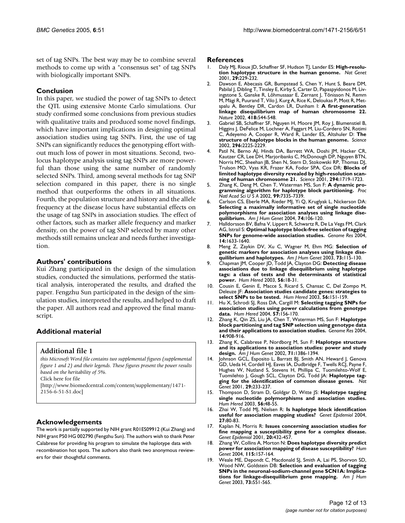set of tag SNPs. The best way may be to combine several methods to come up with a "consensus set" of tag SNPs with biologically important SNPs.

# **Conclusion**

In this paper, we studied the power of tag SNPs to detect the QTL using extensive Monte Carlo simulations. Our study confirmed some conclusions from previous studies with qualitative traits and produced some novel findings, which have important implications in designing optimal association studies using tag SNPs. First, the use of tag SNPs can significantly reduces the genotyping effort without much loss of power in most situations. Second, twolocus haplotype analysis using tag SNPs are more powerful than those using the same number of randomly selected SNPs. Third, among several methods for tag SNP selection compared in this paper, there is no single method that outperforms the others in all situations. Fourth, the population structure and history and the allele frequency at the disease locus have substantial effects on the usage of tag SNPs in association studies. The effect of other factors, such as marker allele frequency and marker density, on the power of tag SNP selected by many other methods still remains unclear and needs further investigation.

# **Authors' contributions**

Kui Zhang participated in the design of the simulation studies, conducted the simulations, performed the statistical analysis, interoperated the results, and drafted the paper. Fengzhu Sun participated in the design of the simulation studies, interpreted the results, and helped to draft the paper. All authors read and approved the final manuscript.

# **Additional material**

# **Additional file 1**

*this Microsoft Word file contains two supplemental figures (supplemental figure 1 and 2) and their legends. These figures present the power results based on the heritability of 5%.*

Click here for file

[\[http://www.biomedcentral.com/content/supplementary/1471-](http://www.biomedcentral.com/content/supplementary/1471-2156-6-51-S1.doc) 2156-6-51-S1.doc]

# **Acknowledgements**

The work is partially supported by NIH grant R01ES09912 (Kui Zhang) and NIH grant P50 HG 002790 (Fengzhu Sun). The authors wish to thank Peter Calabrese for providing his program to simulate the haplotype data with recombination hot spots. The authors also thank two anonymous reviewers for their thoughtful comments.

#### **References**

- 1. Daly MJ, Rioux JD, Schaffner SF, Hudson TJ, Lander ES: **[High-resolu](http://www.ncbi.nlm.nih.gov/entrez/query.fcgi?cmd=Retrieve&db=PubMed&dopt=Abstract&list_uids=11586305)[tion haplotype structure in the human genome.](http://www.ncbi.nlm.nih.gov/entrez/query.fcgi?cmd=Retrieve&db=PubMed&dopt=Abstract&list_uids=11586305)** *Nat Genet* 2001, **29:**229-232.
- 2. Dawson E, Abecasis GR, Bumpstead S, Chen Y, Hunt S, Beare DM, Pabilal J, Dibling T, Tinsley E, Kirby S, Carter D, Papaspyidonos M, Livingstone S, Ganske R, Lõhmussaar E, Zernant J, Tõnisson N, Remm M, Mägi R, Puurand T, Vilo J, Kurg A, Rice K, Deloukas P, Mott R, Metspalu A, Bentley DR, Cardon LR, Dunham I: **[A first-generation](http://www.ncbi.nlm.nih.gov/entrez/query.fcgi?cmd=Retrieve&db=PubMed&dopt=Abstract&list_uids=12110843) [linkage disequilibrium map of human chromosome 22.](http://www.ncbi.nlm.nih.gov/entrez/query.fcgi?cmd=Retrieve&db=PubMed&dopt=Abstract&list_uids=12110843)** *Nature* 2002, **418:**544-548.
- 3. Gabriel SB, Schaffner SF, Nguyen H, Moore JM, Roy J, Blumenstiel B, Higgins J, DeFelice M, Lochner A, Faggart M, Liu-Cordero SN, Rotimi C, Adeyemo A, Cooper R, Ward R, Lander ES, Altshuler D: **[The](http://www.ncbi.nlm.nih.gov/entrez/query.fcgi?cmd=Retrieve&db=PubMed&dopt=Abstract&list_uids=12029063) [structure of haplotype blocks in the human genome.](http://www.ncbi.nlm.nih.gov/entrez/query.fcgi?cmd=Retrieve&db=PubMed&dopt=Abstract&list_uids=12029063)** *Science* 2002, **296:**2225-2229.
- Patil N, Berno AJ, Hinds DA, Barrett WA, Doshi JM, Hacker CR, Kautzer CR, Lee DH, Marjoribanks C, McDonough DP, Nguyen BTN, Norris MC, Sheehan JB, Shen N, Stern D, Stokowski RP, Thomas DJ, Trulson MO, Vyas KR, Frazer KA, Fodor SPA, Cox DR: **[Blocks of](http://www.ncbi.nlm.nih.gov/entrez/query.fcgi?cmd=Retrieve&db=PubMed&dopt=Abstract&list_uids=11721056) [limited haplotype diversity revealed by high-resolution scan](http://www.ncbi.nlm.nih.gov/entrez/query.fcgi?cmd=Retrieve&db=PubMed&dopt=Abstract&list_uids=11721056)[ning of human chromosome 21.](http://www.ncbi.nlm.nih.gov/entrez/query.fcgi?cmd=Retrieve&db=PubMed&dopt=Abstract&list_uids=11721056)** *Science* 2001, **294:**1719-1723.
- 5. Zhang K, Deng M, Chen T, Waterman MS, Sun F: **[A dynamic pro](http://www.ncbi.nlm.nih.gov/entrez/query.fcgi?cmd=Retrieve&db=PubMed&dopt=Abstract&list_uids=12032283)[gramming algorithm for haplotype block partitioning.](http://www.ncbi.nlm.nih.gov/entrez/query.fcgi?cmd=Retrieve&db=PubMed&dopt=Abstract&list_uids=12032283)** *Proc Natl Acad Sci U S A* 2002, **99:**7335-7339.
- 6. Carlson CS, Eberle MA, Rieder MJ, Yi Q, Kruglyak L, Nickerson DA: **Selecting a maximally informative set of single nucleotide [polymorphisms for association analyses using linkage dise](http://www.ncbi.nlm.nih.gov/entrez/query.fcgi?cmd=Retrieve&db=PubMed&dopt=Abstract&list_uids=14681826)[quilibrium.](http://www.ncbi.nlm.nih.gov/entrez/query.fcgi?cmd=Retrieve&db=PubMed&dopt=Abstract&list_uids=14681826)** *Am J Hum Genet* 2004, **74:**106-120.
- 7. Halldorsson BV, Bafna V, Lippert R, Schwartz R, De La Vega FM, Clark AG, Istrail S: **[Optimal haplotype block-free selection of tagging](http://www.ncbi.nlm.nih.gov/entrez/query.fcgi?cmd=Retrieve&db=PubMed&dopt=Abstract&list_uids=15289481) [SNPs for genome-wide association studies.](http://www.ncbi.nlm.nih.gov/entrez/query.fcgi?cmd=Retrieve&db=PubMed&dopt=Abstract&list_uids=15289481)** *Genome Res* 2004, **14:**1633-1640.
- 8. Meng Z, Zaykin DV, Xu C, Wagner M, Ehm MG: **[Selection of](http://www.ncbi.nlm.nih.gov/entrez/query.fcgi?cmd=Retrieve&db=PubMed&dopt=Abstract&list_uids=12796855) [genetic markers for association analyses using linkage dise](http://www.ncbi.nlm.nih.gov/entrez/query.fcgi?cmd=Retrieve&db=PubMed&dopt=Abstract&list_uids=12796855)[quilibrium and haplotypes.](http://www.ncbi.nlm.nih.gov/entrez/query.fcgi?cmd=Retrieve&db=PubMed&dopt=Abstract&list_uids=12796855)** *Am J Hum Genet* 2003, **73:**115-130.
- 9. Chapman JM, Cooper JD, Todd JA, Clayton DG: **[Detecting disease](http://www.ncbi.nlm.nih.gov/entrez/query.fcgi?cmd=Retrieve&db=PubMed&dopt=Abstract&list_uids=14614235) associations due to linkage disequilibrium using haplotype [tags: a class of tests and the determinants of statistical](http://www.ncbi.nlm.nih.gov/entrez/query.fcgi?cmd=Retrieve&db=PubMed&dopt=Abstract&list_uids=14614235) [power.](http://www.ncbi.nlm.nih.gov/entrez/query.fcgi?cmd=Retrieve&db=PubMed&dopt=Abstract&list_uids=14614235)** *Hum Hered* 2003, **56:**18-31.
- 10. Cousin E, Genin E, Macce S, Ricard S, Chansac C, Del Zompo M, Deleuze JF: **[Association studies candidate genes: strategies to](http://www.ncbi.nlm.nih.gov/entrez/query.fcgi?cmd=Retrieve&db=PubMed&dopt=Abstract&list_uids=15031617) [select SNPs to be tested.](http://www.ncbi.nlm.nih.gov/entrez/query.fcgi?cmd=Retrieve&db=PubMed&dopt=Abstract&list_uids=15031617)** *Hum Hered* 2003, **56:**151-159.
- 11. Hu X, Schrodi SJ, Ross DA, Cargill M: **[Selecting tagging SNPs for](http://www.ncbi.nlm.nih.gov/entrez/query.fcgi?cmd=Retrieve&db=PubMed&dopt=Abstract&list_uids=15297809) [association studies using power calculations from genotype](http://www.ncbi.nlm.nih.gov/entrez/query.fcgi?cmd=Retrieve&db=PubMed&dopt=Abstract&list_uids=15297809) [data.](http://www.ncbi.nlm.nih.gov/entrez/query.fcgi?cmd=Retrieve&db=PubMed&dopt=Abstract&list_uids=15297809)** *Hum Hered* 2004, **57:**156-170.
- 12. Zhang K, Qin ZS, Liu JA, Chen T, Waterman MS, Sun F: **[Haplotype](http://www.ncbi.nlm.nih.gov/entrez/query.fcgi?cmd=Retrieve&db=PubMed&dopt=Abstract&list_uids=15078859) [block partitioning and tag SNP selection using genotype data](http://www.ncbi.nlm.nih.gov/entrez/query.fcgi?cmd=Retrieve&db=PubMed&dopt=Abstract&list_uids=15078859) [and their applications to association studies.](http://www.ncbi.nlm.nih.gov/entrez/query.fcgi?cmd=Retrieve&db=PubMed&dopt=Abstract&list_uids=15078859)** *Genome Res* 2004, **14:**908-916.
- 13. Zhang K, Calabrese P, Nordborg M, Sun F: **[Haplotype structure](http://www.ncbi.nlm.nih.gov/entrez/query.fcgi?cmd=Retrieve&db=PubMed&dopt=Abstract&list_uids=12439824) [and its applications to association studies: power and study](http://www.ncbi.nlm.nih.gov/entrez/query.fcgi?cmd=Retrieve&db=PubMed&dopt=Abstract&list_uids=12439824) [design.](http://www.ncbi.nlm.nih.gov/entrez/query.fcgi?cmd=Retrieve&db=PubMed&dopt=Abstract&list_uids=12439824)** *Am J Hum Genet* 2002, **71:**1386-1394.
- Johnson GCL, Esposito L, Barratt BJ, Smith AN, Heward J, Genova GD, Ueda H, Cordell HJ, Eaves IA, Dudbridge F, Twells RCJ, Payne F, Hughes W, Nutland S, Stevens H, Phillipa C, Tuomilehto-Wolf E, Tuomilehto J, Gough SCL, Clayton DG, Todd JA: **[Haplotype tag](http://www.ncbi.nlm.nih.gov/entrez/query.fcgi?cmd=Retrieve&db=PubMed&dopt=Abstract&list_uids=11586306)[ging for the identification of common disease genes.](http://www.ncbi.nlm.nih.gov/entrez/query.fcgi?cmd=Retrieve&db=PubMed&dopt=Abstract&list_uids=11586306)** *Nat Genet* 2001, **29:**233-237.
- 15. Thompson D, Stram D, Goldgar D, Witte JS: **[Haplotype tagging](http://www.ncbi.nlm.nih.gov/entrez/query.fcgi?cmd=Retrieve&db=PubMed&dopt=Abstract&list_uids=14614238) [single nucleotide polymorphisms and association studies.](http://www.ncbi.nlm.nih.gov/entrez/query.fcgi?cmd=Retrieve&db=PubMed&dopt=Abstract&list_uids=14614238)** *Hum Hered* 2003, **56:**48-55.
- 16. Zhai W, Todd MJ, Nielsen R: **[Is haplotype block identification](http://www.ncbi.nlm.nih.gov/entrez/query.fcgi?cmd=Retrieve&db=PubMed&dopt=Abstract&list_uids=15185406) [useful for association mapping studies?](http://www.ncbi.nlm.nih.gov/entrez/query.fcgi?cmd=Retrieve&db=PubMed&dopt=Abstract&list_uids=15185406)** *Genet Epidemiol* 2004, **27:**80-83.
- 17. Kaplan N, Morris R: **[Issues concerning association studies for](http://www.ncbi.nlm.nih.gov/entrez/query.fcgi?cmd=Retrieve&db=PubMed&dopt=Abstract&list_uids=11319784) [fine mapping a susceptibility gene for a complex disease.](http://www.ncbi.nlm.nih.gov/entrez/query.fcgi?cmd=Retrieve&db=PubMed&dopt=Abstract&list_uids=11319784)** *Genet Epidemiol* 2001, **20:**432-457.
- 18. Zhang W, Collins A, Morton N: [Does haplotype diversity predict](http://www.ncbi.nlm.nih.gov/entrez/query.fcgi?cmd=Retrieve&db=PubMed&dopt=Abstract&list_uids=15221450) **[power for association mapping of disease susceptibility?](http://www.ncbi.nlm.nih.gov/entrez/query.fcgi?cmd=Retrieve&db=PubMed&dopt=Abstract&list_uids=15221450)** *Hum Genet* 2004, **115:**157-164.
- 19. Weale ME, Depondt C, Macdonald SJ, Smith A, Lai PS, Shorvon SD, Wood NW, Goldstein DB: **[Selection and evaluation of tagging](http://www.ncbi.nlm.nih.gov/entrez/query.fcgi?cmd=Retrieve&db=PubMed&dopt=Abstract&list_uids=12900796) [SNPs in the neuronal-sodium-channel gene SCN1A: Implica](http://www.ncbi.nlm.nih.gov/entrez/query.fcgi?cmd=Retrieve&db=PubMed&dopt=Abstract&list_uids=12900796)[tions for linkage-disequilibrium gene mapping.](http://www.ncbi.nlm.nih.gov/entrez/query.fcgi?cmd=Retrieve&db=PubMed&dopt=Abstract&list_uids=12900796)** *Am J Hum Genet* 2003, **73:**551-565.